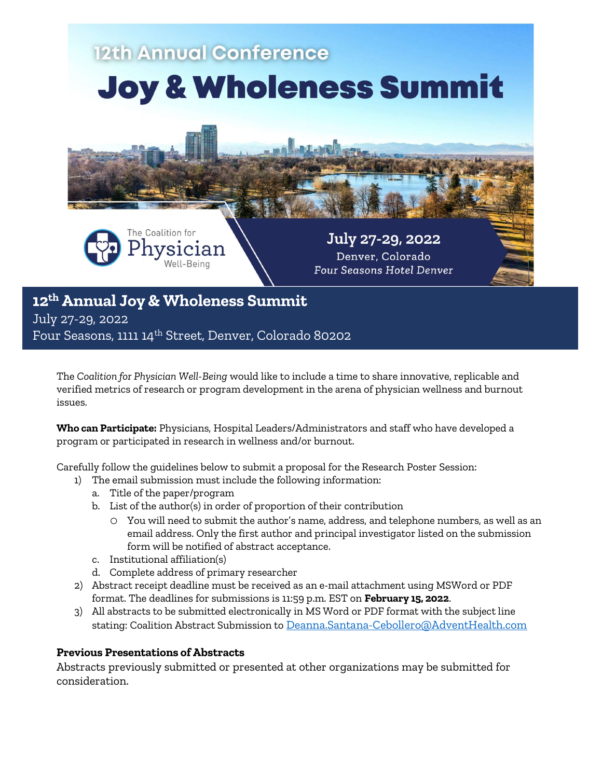

July 27-29, 2022

Four Seasons, 1111 14th Street, Denver, Colorado 80202

The Coalition for Physician Well-Being would like to include a time to share innovative, replicable and verified metrics of research or program development in the arena of physician wellness and burnout issues.

Who can Participate: Physicians, Hospital Leaders/Administrators and staff who have developed a program or participated in research in wellness and/or burnout.

Carefully follow the guidelines below to submit a proposal for the Research Poster Session:

- 1) The email submission must include the following information:
	- a. Title of the paper/program
	- b. List of the author(s) in order of proportion of their contribution
		- o You will need to submit the author's name, address, and telephone numbers, as well as an email address. Only the first author and principal investigator listed on the submission form will be notified of abstract acceptance.
	- c. Institutional affiliation(s)
	- d. Complete address of primary researcher
- 2) Abstract receipt deadline must be received as an e-mail attachment using MSWord or PDF format. The deadlines for submissions is 11:59 p.m. EST on February 15, 2022.
- 3) All abstracts to be submitted electronically in MS Word or PDF format with the subject line stating: Coalition Abstract Submission to Deanna.Santana-Cebollero@AdventHealth.com

#### Previous Presentations of Abstracts

Abstracts previously submitted or presented at other organizations may be submitted for consideration.